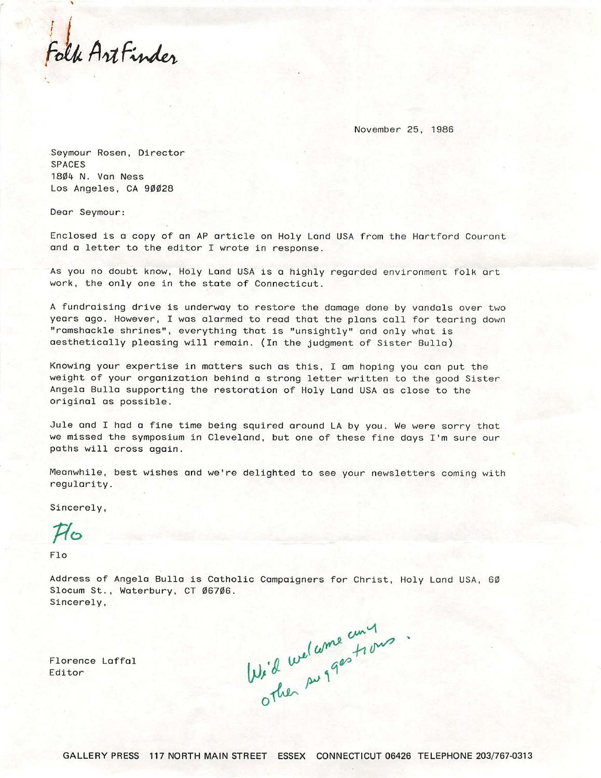Folk Artfinder

November 25, 1986

Seymour Rosen, Director SPACES 18Ø4 N. Van Ness Los Angeles, CA 90028

Dear Seymour:

Enclosed is a copy of an AP article on Holy Land USA from the Hartford Courant and a letter to the editor I wrote in response.

As you no doubt know, Holy Land USA is a highly regarded environment folk art work, the only one in the state of Connecticut.

A fundraising drive is underway to restore the damage done by vandals over two years ago. However, I was alarmed to read that the plans call for tearing down "ramshackle shrines", everything that is "unsightly" and only what is aesthetically pleasing will remain. (In the judgment of Sister Bulla)

Knowing your expertise in matters such as this, I am hoping you can put the weight of your organization behind a strong letter written to the good Sister Angela Bulla supporting the restoration of Holy Land USA as close to the original as possible.

Jule and I had a fine time being squired around LA by you. We were sorry that we missed the symposium in Cleveland, but one of these fine days I'm sure our paths will cross again.

Meanwhile, best wishes and we're delighted to see your newsletters coming with regularity.

Sincerely,

 $\mathcal{H}_0$ 

Flo

Address of Angela Bulla is Catholic Campaigners for Christ, Holy Land USA, 6Ø Slocum St., Waterbury, CT Ø67Ø6. Sincerely,

Florence Laffal Editor

Wi'd welcome ciny<br>Other surgestions